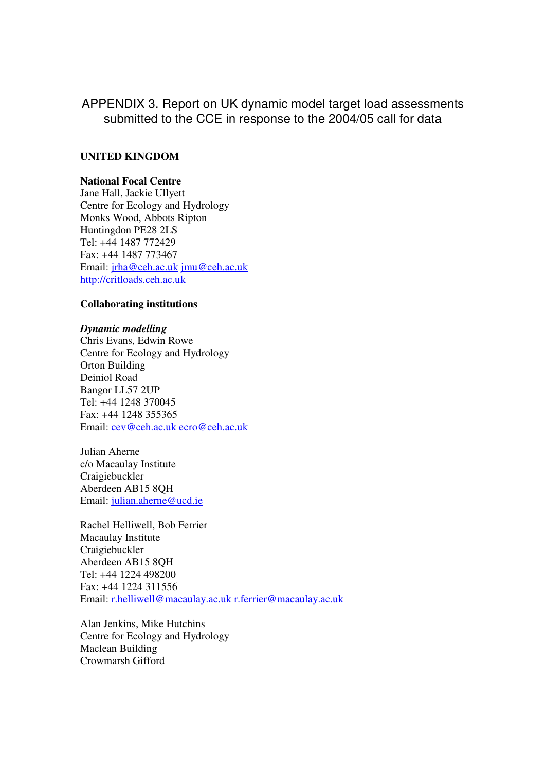# APPENDIX 3. Report on UK dynamic model target load assessments submitted to the CCE in response to the 2004/05 call for data

# **UNITED KINGDOM**

## **National Focal Centre**

Jane Hall, Jackie Ullyett Centre for Ecology and Hydrology Monks Wood, Abbots Ripton Huntingdon PE28 2LS Tel: +44 1487 772429 Fax: +44 1487 773467 Email: jrha@ceh.ac.uk jmu@ceh.ac.uk http://critloads.ceh.ac.uk

## **Collaborating institutions**

## *Dynamic modelling*

Chris Evans, Edwin Rowe Centre for Ecology and Hydrology Orton Building Deiniol Road Bangor LL57 2UP Tel: +44 1248 370045 Fax: +44 1248 355365 Email: cev@ceh.ac.uk ecro@ceh.ac.uk

Julian Aherne c/o Macaulay Institute Craigiebuckler Aberdeen AB15 8QH Email: julian.aherne@ucd.ie

Rachel Helliwell, Bob Ferrier Macaulay Institute Craigiebuckler Aberdeen AB15 8QH Tel: +44 1224 498200 Fax: +44 1224 311556 Email: r.helliwell@macaulay.ac.uk r.ferrier@macaulay.ac.uk

Alan Jenkins, Mike Hutchins Centre for Ecology and Hydrology Maclean Building Crowmarsh Gifford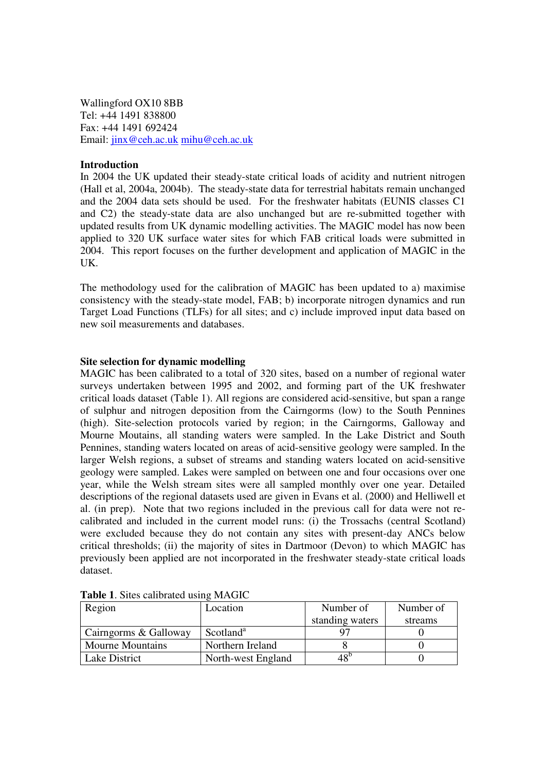Wallingford OX10 8BB Tel: +44 1491 838800 Fax: +44 1491 692424 Email: jinx@ceh.ac.uk mihu@ceh.ac.uk

#### **Introduction**

In 2004 the UK updated their steady-state critical loads of acidity and nutrient nitrogen (Hall et al, 2004a, 2004b). The steady-state data for terrestrial habitats remain unchanged and the 2004 data sets should be used. For the freshwater habitats (EUNIS classes C1 and C2) the steady-state data are also unchanged but are re-submitted together with updated results from UK dynamic modelling activities. The MAGIC model has now been applied to 320 UK surface water sites for which FAB critical loads were submitted in 2004. This report focuses on the further development and application of MAGIC in the UK.

The methodology used for the calibration of MAGIC has been updated to a) maximise consistency with the steady-state model, FAB; b) incorporate nitrogen dynamics and run Target Load Functions (TLFs) for all sites; and c) include improved input data based on new soil measurements and databases.

#### **Site selection for dynamic modelling**

MAGIC has been calibrated to a total of 320 sites, based on a number of regional water surveys undertaken between 1995 and 2002, and forming part of the UK freshwater critical loads dataset (Table 1). All regions are considered acid-sensitive, but span a range of sulphur and nitrogen deposition from the Cairngorms (low) to the South Pennines (high). Site-selection protocols varied by region; in the Cairngorms, Galloway and Mourne Moutains, all standing waters were sampled. In the Lake District and South Pennines, standing waters located on areas of acid-sensitive geology were sampled. In the larger Welsh regions, a subset of streams and standing waters located on acid-sensitive geology were sampled. Lakes were sampled on between one and four occasions over one year, while the Welsh stream sites were all sampled monthly over one year. Detailed descriptions of the regional datasets used are given in Evans et al. (2000) and Helliwell et al. (in prep). Note that two regions included in the previous call for data were not recalibrated and included in the current model runs: (i) the Trossachs (central Scotland) were excluded because they do not contain any sites with present-day ANCs below critical thresholds; (ii) the majority of sites in Dartmoor (Devon) to which MAGIC has previously been applied are not incorporated in the freshwater steady-state critical loads dataset.

| Region                  | Location              | Number of       | Number of |
|-------------------------|-----------------------|-----------------|-----------|
|                         |                       | standing waters | streams   |
| Cairngorms & Galloway   | Scotland <sup>a</sup> | Q7              |           |
| <b>Mourne Mountains</b> | Northern Ireland      |                 |           |
| Lake District           | North-west England    | 48'             |           |

**Table 1**. Sites calibrated using MAGIC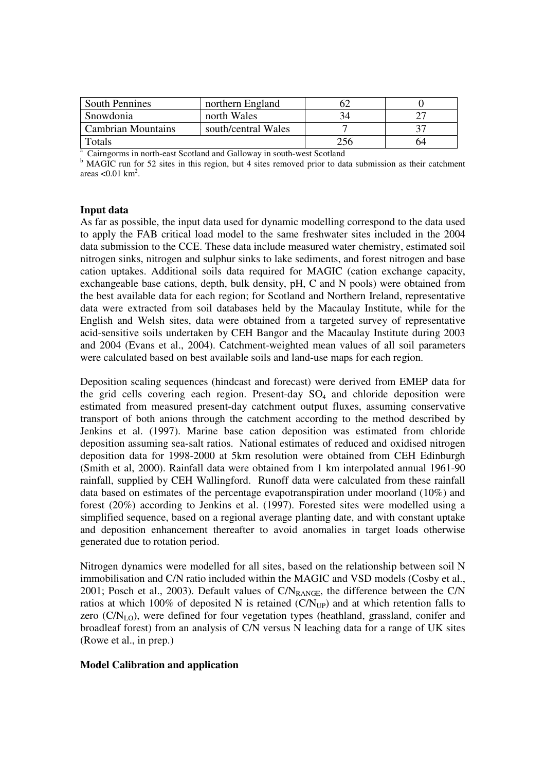| <b>South Pennines</b>     | northern England    |    |    |
|---------------------------|---------------------|----|----|
| Snowdonia                 | north Wales         | 34 |    |
| <b>Cambrian Mountains</b> | south/central Wales |    |    |
| Totals                    |                     |    | h4 |

<sup>a</sup> Cairngorms in north-east Scotland and Galloway in south-west Scotland

<sup>b</sup> MAGIC run for 52 sites in this region, but 4 sites removed prior to data submission as their catchment areas  $< 0.01$  km<sup>2</sup>.

#### **Input data**

As far as possible, the input data used for dynamic modelling correspond to the data used to apply the FAB critical load model to the same freshwater sites included in the 2004 data submission to the CCE. These data include measured water chemistry, estimated soil nitrogen sinks, nitrogen and sulphur sinks to lake sediments, and forest nitrogen and base cation uptakes. Additional soils data required for MAGIC (cation exchange capacity, exchangeable base cations, depth, bulk density, pH, C and N pools) were obtained from the best available data for each region; for Scotland and Northern Ireland, representative data were extracted from soil databases held by the Macaulay Institute, while for the English and Welsh sites, data were obtained from a targeted survey of representative acid-sensitive soils undertaken by CEH Bangor and the Macaulay Institute during 2003 and 2004 (Evans et al., 2004). Catchment-weighted mean values of all soil parameters were calculated based on best available soils and land-use maps for each region.

Deposition scaling sequences (hindcast and forecast) were derived from EMEP data for the grid cells covering each region. Present-day  $SO<sub>4</sub>$  and chloride deposition were estimated from measured present-day catchment output fluxes, assuming conservative transport of both anions through the catchment according to the method described by Jenkins et al. (1997). Marine base cation deposition was estimated from chloride deposition assuming sea-salt ratios. National estimates of reduced and oxidised nitrogen deposition data for 1998-2000 at 5km resolution were obtained from CEH Edinburgh (Smith et al, 2000). Rainfall data were obtained from 1 km interpolated annual 1961-90 rainfall, supplied by CEH Wallingford. Runoff data were calculated from these rainfall data based on estimates of the percentage evapotranspiration under moorland (10%) and forest (20%) according to Jenkins et al. (1997). Forested sites were modelled using a simplified sequence, based on a regional average planting date, and with constant uptake and deposition enhancement thereafter to avoid anomalies in target loads otherwise generated due to rotation period.

Nitrogen dynamics were modelled for all sites, based on the relationship between soil N immobilisation and C/N ratio included within the MAGIC and VSD models (Cosby et al., 2001; Posch et al., 2003). Default values of  $CN_{RANGE}$ , the difference between the  $CN$ ratios at which 100% of deposited N is retained  $(C/N_{UP})$  and at which retention falls to zero (C/N<sub>LO</sub>), were defined for four vegetation types (heathland, grassland, conifer and broadleaf forest) from an analysis of C/N versus N leaching data for a range of UK sites (Rowe et al., in prep.)

## **Model Calibration and application**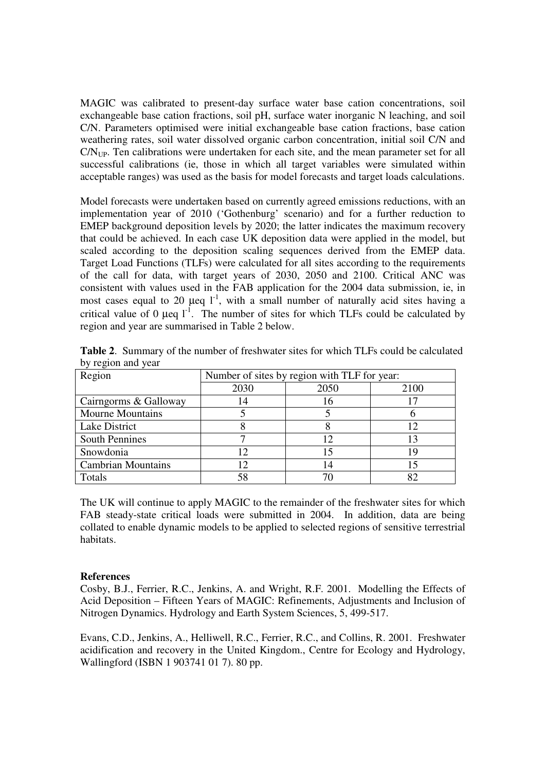MAGIC was calibrated to present-day surface water base cation concentrations, soil exchangeable base cation fractions, soil pH, surface water inorganic N leaching, and soil C/N. Parameters optimised were initial exchangeable base cation fractions, base cation weathering rates, soil water dissolved organic carbon concentration, initial soil C/N and  $CN_{UP}$ . Ten calibrations were undertaken for each site, and the mean parameter set for all successful calibrations (ie, those in which all target variables were simulated within acceptable ranges) was used as the basis for model forecasts and target loads calculations.

Model forecasts were undertaken based on currently agreed emissions reductions, with an implementation year of 2010 ('Gothenburg' scenario) and for a further reduction to EMEP background deposition levels by 2020; the latter indicates the maximum recovery that could be achieved. In each case UK deposition data were applied in the model, but scaled according to the deposition scaling sequences derived from the EMEP data. Target Load Functions (TLFs) were calculated for all sites according to the requirements of the call for data, with target years of 2030, 2050 and 2100. Critical ANC was consistent with values used in the FAB application for the 2004 data submission, ie, in most cases equal to 20  $\mu$ eq 1<sup>-1</sup>, with a small number of naturally acid sites having a critical value of 0 µeq  $1^1$ . The number of sites for which TLFs could be calculated by region and year are summarised in Table 2 below.

| Region                    | Number of sites by region with TLF for year: |      |      |
|---------------------------|----------------------------------------------|------|------|
|                           | 2030                                         | 2050 | 2100 |
| Cairngorms & Galloway     | 14                                           |      |      |
| <b>Mourne Mountains</b>   |                                              |      |      |
| <b>Lake District</b>      |                                              |      | 12   |
| <b>South Pennines</b>     |                                              |      | 13   |
| Snowdonia                 |                                              |      | 19   |
| <b>Cambrian Mountains</b> |                                              |      |      |
| Totals                    | 58                                           |      | 82   |

**Table 2**. Summary of the number of freshwater sites for which TLFs could be calculated by region and year

The UK will continue to apply MAGIC to the remainder of the freshwater sites for which FAB steady-state critical loads were submitted in 2004. In addition, data are being collated to enable dynamic models to be applied to selected regions of sensitive terrestrial habitats.

# **References**

Cosby, B.J., Ferrier, R.C., Jenkins, A. and Wright, R.F. 2001. Modelling the Effects of Acid Deposition – Fifteen Years of MAGIC: Refinements, Adjustments and Inclusion of Nitrogen Dynamics. Hydrology and Earth System Sciences, 5, 499-517.

Evans, C.D., Jenkins, A., Helliwell, R.C., Ferrier, R.C., and Collins, R. 2001. Freshwater acidification and recovery in the United Kingdom., Centre for Ecology and Hydrology, Wallingford (ISBN 1 903741 01 7). 80 pp.